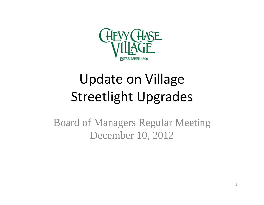

# Update on Village Streetlight Upgrades

Board of Managers Regular Meeting December 10, 2012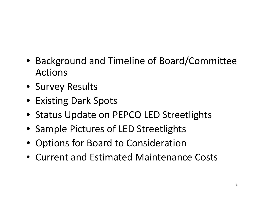- Background and Timeline of Board/Committee Actions
- Survey Results
- Existing Dark Spots
- Status Update on PEPCO LED Streetlights
- Sample Pictures of LED Streetlights
- Options for Board to Consideration
- Current and Estimated Maintenance Costs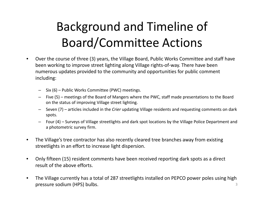# Background and Timeline of Board/Committee Actions

- $\bullet$  Over the course of three (3) years, the Village Board, Public Works Committee and staff have been working to improve street lighting along Village rights‐of‐way. There have been numerous updates provided to the community and opportunities for public comment including:
	- Six (6) Public Works Committee (PWC) meetings.
	- Five (5) meetings of the Board of Mangers where the PWC, staff made presentations to the Board on the status of improving Village street lighting.
	- Seven (7) articles included in the *Crier* updating Village residents and requesting comments on dark spots.
	- Four (4) Surveys of Village streetlights and dark spot locations by the Village Police Department and a photometric survey firm.
- $\bullet$ • The Village's tree contractor has also recently cleared tree branches away from existing streetlights in an effort to increase light dispersion.
- $\bullet$  Only fifteen (15) resident comments have been received reporting dark spots as <sup>a</sup> direct result of the above efforts.
- $\bullet$  The Village currently has <sup>a</sup> total of 287 streetlights installed on PEPCO power poles using high pressure sodium (HPS) bulbs. 3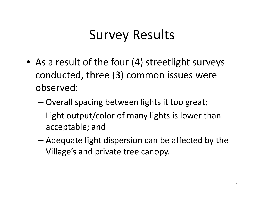# Survey Results

- As a result of the four (4) streetlight surveys conducted, three (3) common issues were observed:
	- Overall spacing between lights it too great;
	- – $-$  Light output/color of many lights is lower than acceptable; and
	- – Adequate light dispersion can be affected by the Village's and private tree canopy.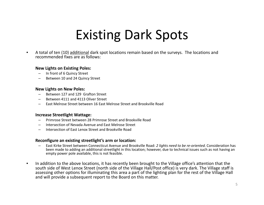# Existing Dark Spots

•**•** A total of ten (10) additional dark spot locations remain based on the surveys. The locations and recommended fixes are as follows:

#### **New Lights on Existing Poles:**

- In front of 6 Quincy Street
- Between 10 and 24 Quincy Street

#### **New Lights on New Poles:**

- Between 127 and 129 Grafton Street
- Between 4111 and 4113 Oliver Street
- East Melrose Street between 16 East Melrose Street and Brookville Road

#### **Increase Streetlight Wattage:**

- Primrose Street between 28 Primrose Street and Brookville Road
- Intersection of Nevada Avenue and East Melrose Street
- Intersection of East Lenox Street and Brookville Road

#### **Reconfigure an existing streetlight s' arm or location:**

- East Kirke Street between Connecticut Avenue and Brookville Road: *2 lights need to be re‐oriented.* Consideration has been made to adding an additional streetlight in this location; however, due to technical issues such as not having an empty power pole available, this is not feasible.
- •• In addition to the above locations, it has recently been brought to the Village office's attention that the south side of West Lenox Street (north side of the Village Hall/Post office) is very dark. The Village staff is assessing other options for illuminating this area <sup>a</sup> part of the lighting plan for the rest of the Village Hall and will provide <sup>a</sup> subsequent report to the Board on this matter.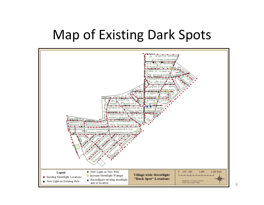#### Map of Existing Dark Spots

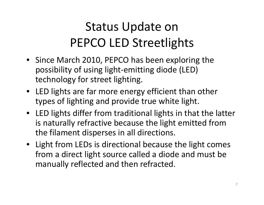## Status Update on PEPCO LED Streetlights

- Since March 2010, PEPCO has been exploring the possibility of using light‐emitting diode (LED) technology for street lighting.
- $\bullet~$  LED lights are far more energy efficient than other types of lighting and provide true white light.
- LED lights differ from traditional lights in that the latter is naturally refractive because the light emitted from the filament disperses in all directions.
- Light from LEDs is directional because the light comes from <sup>a</sup> direct light source called <sup>a</sup> diode and must be manually reflected and then refracted.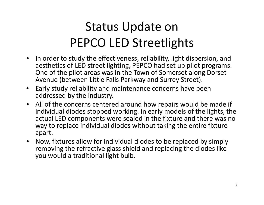## Status Update on PEPCO LED Streetlights

- In order to study the effectiveness, reliability, light dispersion, and aesthetics of LED street lighting, PEPCO had set up pilot programs. One of the pilot areas was in the Town of Somerset along Dorset Avenue (between Little Falls Parkway and Surrey Street).
- $\bullet$  Early study reliability and maintenance concerns have been addressed by the industry.
- All of the concerns centered around how repairs would be made if individual diodes stopped working. In early models of the lights, the actual LED components were sealed in the fixture and there was no way to replace individual diodes without taking the entire fixture apart.
- $\bullet$  Now, fixtures allow for individual diodes to be replaced by simply removing the refractive glass shield and replacing the diodes like you would a traditional light bulb.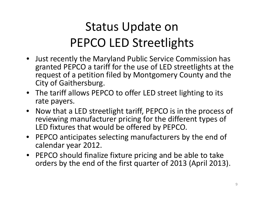## Status Update on PEPCO LED Streetlights

- Just recently the Maryland Public Service Commission has granted PEPCO a tariff for the use of LED streetlights at the request of a petition filed by Montgomery County and the City of Gaithersburg.
- The tariff allows PEPCO to offer LED street lighting to its rate payers.
- Now that a LED streetlight tariff, PEPCO is in the process of reviewing manufacturer pricing for the different types of LED fixtures that would be offered by PEPCO.
- PEPCO antici pates selectin g manufacturers b y the end of calendar year 2012.
- PEPCO should finalize fixture pricing and be able to take orders by the end of the first quarter of 2013 (April 2013).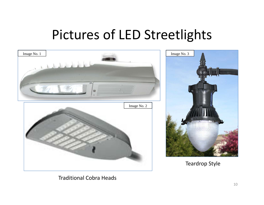# Pictures of LED Streetlights



Traditional Cobra Heads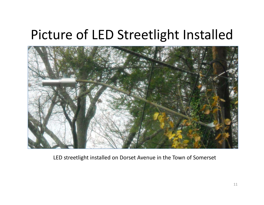## Picture of LED Streetlight Installed



LED streetlight installed on Dorset Avenue in the Town of Somerset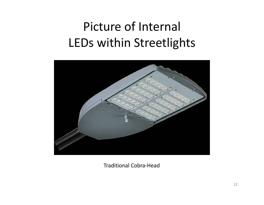#### Picture of Internal LEDs within Streetlights



Traditional Cobra‐Head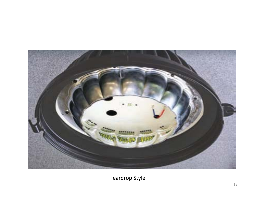

Teardrop Style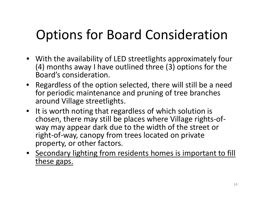# Options for Board Consideration

- With the availability of LED streetlights approximately four (4) months away I have outlined three (3) options for the Board's consideration.
- Regardless of the option selected, there will still be <sup>a</sup> need for periodic maintenance and pruning of tree branches around Village streetlights.
- It is worth noting that regardless of which solution is chosen, there may still be places where Village rights‐of‐ way may appear dark due to the width of the street or right‐of‐way, canopy from trees located on private property, or other factors.
- Secondary lighting from residents homes is important to fill these gaps.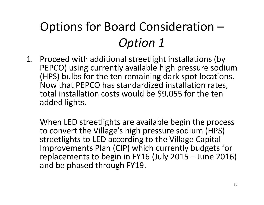## Options for Board Consideration – *Option 1*

1. Proceed with additional streetlight installations (by PEPCO) using currently available high pressure sodium (HPS) bulbs for the ten remaining dark spot locations. Now that PEPCO has standardized installation rates, total installation costs would be \$9,055 for the ten added lights.

When LED streetlights are available begin the process to convert the Village's high pressure sodium (HPS) streetlights to LED according to the Village Capital Improvements Plan (CIP) which currently budgets for replacements to begin in FY16 (July 2015 – June 2016) and be phased through FY19.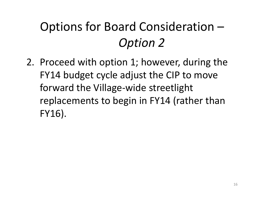## Options for Board Consideration – *Option 2*

2. Proceed with option 1; however, during the FY14 budget cycle adjust the CIP to move forward the Village ‐wide streetlight replacements to begin in FY14 (rather than FY16).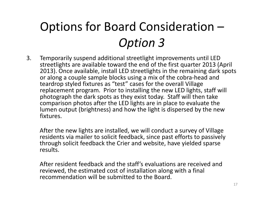## Options for Board Consideration – *Option 3*

3. Temporarily suspend additional streetlight improvements until LED streetlights are available toward the end of the first quarter 2013 (April 2013). Once available, install LED streetlights in the remaining dark spots or along <sup>a</sup> couple sample blocks using <sup>a</sup> mix of the cobra‐head and teardrop styled fixtures as "test" cases for the overall Village replacement program. Prior to installing the new LED lights, staff will photograph the dark spots as they exist today. Staff will then take comparison photos after the LED lights are in place to evaluate the lumen output (brightness) and how the light is dispersed by the new fixtures.

After the new lights are installed, we will conduct <sup>a</sup> survey of Village residents via mailer to solicit feedback, since past efforts to passively through solicit feedback the Crier and website, have yielded sparse results.

After resident feedback and the staff's evaluations are received and reviewed, the estimated cost of installation along with <sup>a</sup> final recommendation will be submitted to the Board.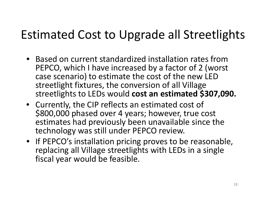#### Estimated Cost to Upgrade all Streetlights

- Based on current standardized installation rates fromPEPCO, which I have increased by <sup>a</sup> factor of 2 (worst case scenario) to estimate the cost of the new LED streetlight fixtures, the conversion of all Village streetlights to LEDs would **cost an estimated \$307,090.**
- Currently, the CIP reflects an estimated cost of \$800,000 phased over <sup>4</sup> years; however, true cost estimates had previously been unavailable since the technology was still under PEPCO review.
- If PEPCO's installation pricing proves to be reasonable, replacing all Village streetlights with LEDs in <sup>a</sup> single fiscal year would be feasible.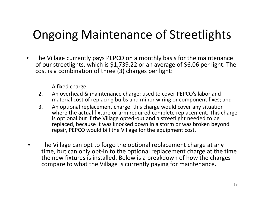#### Ongoing Maintenance of Streetlights

- The Village currently pays PEPCO on <sup>a</sup> monthly basis for the maintenance of our streetlights, which is \$1,739.22 or an average of \$6.06 per light. The cost is a combination of three (3) charges per light:
	- $1<sub>1</sub>$ A fixed charge;
	- 2. An overhead & maintenance charge: used to cover PEPCO's labor and material cost of replacing bulbs and minor wiring or component fixes; and
	- 3. An optional replacement charge: this charge would cover any situation where the actual fixture or arm required complete replacement. This charge is optional but if the Village opted‐out and <sup>a</sup> streetlight needed to be replaced, because it was knocked down in <sup>a</sup> storm or was broken beyond repair, PEPCO would bill the Village for the equipment cost.
- • The Village can opt to forgo the optional replacement charge at any time, but can only opt‐in to the optional replacement charge at the time the new fixtures is installed. Below is <sup>a</sup> breakdown of how the charges compare to what the Village is currently paying for maintenance.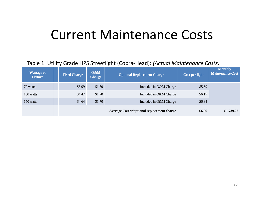#### Current Maintenance Costs

#### Table 1: Utility Grade HPS Streetlight (Cobra‐Head): *(Actual Maintenance Costs)*

| <b>Wattage of</b><br><b>Fixture</b> | <b>Fixed Charge</b> | O&M<br><b>Charge</b> | <b>Optional Replacement Charge</b>                | <b>Cost per light</b> | <b>Monthly</b><br><b>Maintenance Cost</b> |
|-------------------------------------|---------------------|----------------------|---------------------------------------------------|-----------------------|-------------------------------------------|
| 70 watts                            | \$3.99              | \$1.70               | Included in O&M Charge                            | \$5.69                |                                           |
| 100 watts                           | \$4.47              | \$1.70               | Included in O&M Charge                            | \$6.17                |                                           |
| 150 watts                           | \$4.64              | \$1.70               | Included in O&M Charge                            | \$6.34\$              |                                           |
|                                     |                     |                      | <b>Average Cost w/optional replacement charge</b> | \$6.06                | \$1,739.22                                |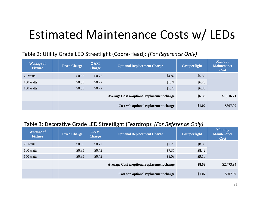#### Estimated Maintenance Costs w/ LEDs

#### Table 2: Utility Grade LED Streetlight (Cobra‐Head): *(For Reference Only)*

| <b>Wattage of</b><br><b>Fixture</b> | <b>Fixed Charge</b> | O&M<br><b>Charge</b> | <b>Optional Replacement Charge</b>                | <b>Cost per light</b> | <b>Monthly</b><br><b>Maintenance</b><br><b>Cost</b> |
|-------------------------------------|---------------------|----------------------|---------------------------------------------------|-----------------------|-----------------------------------------------------|
| 70 watts                            | \$0.35              | \$0.72               | \$4.82                                            | \$5.89                |                                                     |
| 100 watts                           | \$0.35              | \$0.72               | \$5.21                                            | \$6.28\$              |                                                     |
| 150 watts                           | \$0.35              | \$0.72               | \$5.76                                            | \$6.83\$              |                                                     |
|                                     |                     |                      | <b>Average Cost w/optional replacement charge</b> | \$6.33                | \$1,816.71                                          |
|                                     |                     |                      | Cost w/o optional replacement charge              | \$1.07                | \$307.09                                            |

#### Table 3: Decorative Grade LED Streetlight (Teardrop): *(For Reference Only)*

| <b>Wattage of</b><br><b>Fixture</b> | <b>Fixed Charge</b> | O&M<br><b>Charge</b> | <b>Optional Replacement Charge</b>                | . .<br>Cost per light | <b>Monthly</b><br><b>Maintenance</b><br><b>Cost</b> |
|-------------------------------------|---------------------|----------------------|---------------------------------------------------|-----------------------|-----------------------------------------------------|
| 70 watts                            | \$0.35              | \$0.72               | \$7.28                                            | \$8.35                |                                                     |
| 100 watts                           | \$0.35              | \$0.72               | \$7.35                                            | \$8.42                |                                                     |
| 150 watts                           | \$0.35              | \$0.72               | \$8.03                                            | \$9.10                |                                                     |
|                                     |                     |                      | <b>Average Cost w/optional replacement charge</b> | \$8.62                | \$2,473.94                                          |
|                                     |                     |                      | Cost w/o optional replacement charge              | \$1.07                | \$307.09                                            |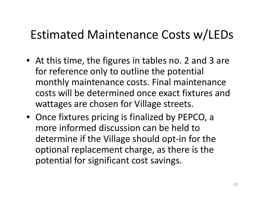#### Estimated Maintenance Costs w/LEDs

- $\bullet~$  At this time, the figures in tables no. 2 and 3 are for reference only to outline the potential monthly maintenance costs. Final maintenance costs will be determined once exact fixtures and wattages are chosen for Village streets.
- Once fixtures pricing is finalized by PEPCO, a more informed discussion can be held todetermine if the Village should opt‐in for the optional replacement charge, as there is the potential for significant cost savings.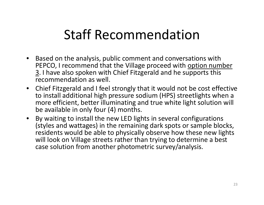## Staff Recommendation

- Based on the analysis, public comment and conversations with PEPCO, I recommend that the Village proceed with option number <u>3</u>. I have also spoken with Chief Fitzgerald and he supports this recommendation as well.
- Chief Fitzgerald and I feel strongly that it would not be cost effective to install additional high pressure sodium (HPS) streetlights when <sup>a</sup> more efficient, better illuminating and true white light solution will be available in only four (4) months.
- By waiting to install the new LED lights in several configurations (styles and wattages) in the remaining dark spots or sample blocks, residents would be able to physically observe how these new lights will look on Village streets rather than trying to determine <sup>a</sup> best case solution from another photometric survey/analysis.